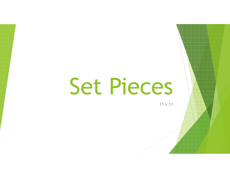# Set Pieces

11 v 11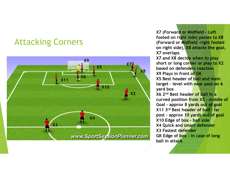#### Attacking Corners



X7 (Forward or Midfield – Left footed on right side) passes to X8 (Forward or Midfield –right footed on right side), X8 attacks the goal, X7 overlapsX7 and X8 decide when to play

short or long corner or play to X2 based on defenders reactionX9 Plays in front of GK X5 Best header of ball and main target - level with <mark>near post o</mark>n 6 yard box

X6 2<sup>nd</sup> Best header of ball in a curved position <mark>from X5 - middle of</mark> Goal – approx 8 yards out of goal X11 3<sup>rd</sup> Best he<mark>ader of ball -</mark> far post – approx 10 yards out of goal X10 Edge of box – ball sideX4 Quick an<mark>d smart defende</mark>r X3 Fastest defenderGK Edge of box - in case of long ball in attack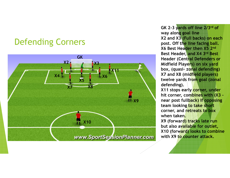### Defending Corners



GK 2-3 yards off line 2/3rd of way along goal line X2 and X3 (Full backs) on each post. Off the line facing ball.X6 Best Header then X5 2ndBest Header, and X4 3rd Best Header (Cent<mark>ral Defenders or</mark> Midfield Players) on six yard box, (quasi- z<mark>onal defending)</mark> X7 and X8 (midfield players) twelve yards fr<mark>om goal (zonal</mark> defending).

X11 stops early corner, under hit corner, co<mark>mbines with (X3 -</mark> near post fullback) if opposing team looking to take short corner, and retreats to box when taken.

X9 (forwar<mark>d) tracks late ru</mark>n but also a<mark>vailable for outlet,</mark> X10 (forward) looks to combine with X9 to counter attack.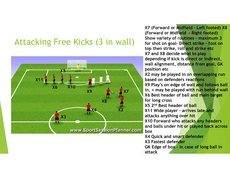### Attacking Free Kicks (3 in wall)



X7 (Forward or Midfield – Left footed) X8 (Forward or Midfield – Right footed) Show variety of routines – maximum 3 for shot on goal– Direct strike – foot on top then strike, roll and strike etcX7 and X8 decide what to play depending if kick is d<mark>irect or indirect,</mark> wall alignment, distance from goal, GK position etcX2 may be played in o<mark>n overlapping</mark> run based on defenders reactions X9 Play's on edge of wall and follows ball in, + may be played wit<mark>h run behin</mark>d wall X6 Best header of ball and main target for long crossX5 2<sup>nd</sup> Best header of <mark>ball</mark> X11 Wide player – arrives late and attacks anything over hit X10 Forward who attacks any headers and balls under hi<mark>t or played back across</mark> boxX4 Quick and sm<mark>art defender</mark> X3 Fastest defender

GK Edge of box – in case of long ball in

attack